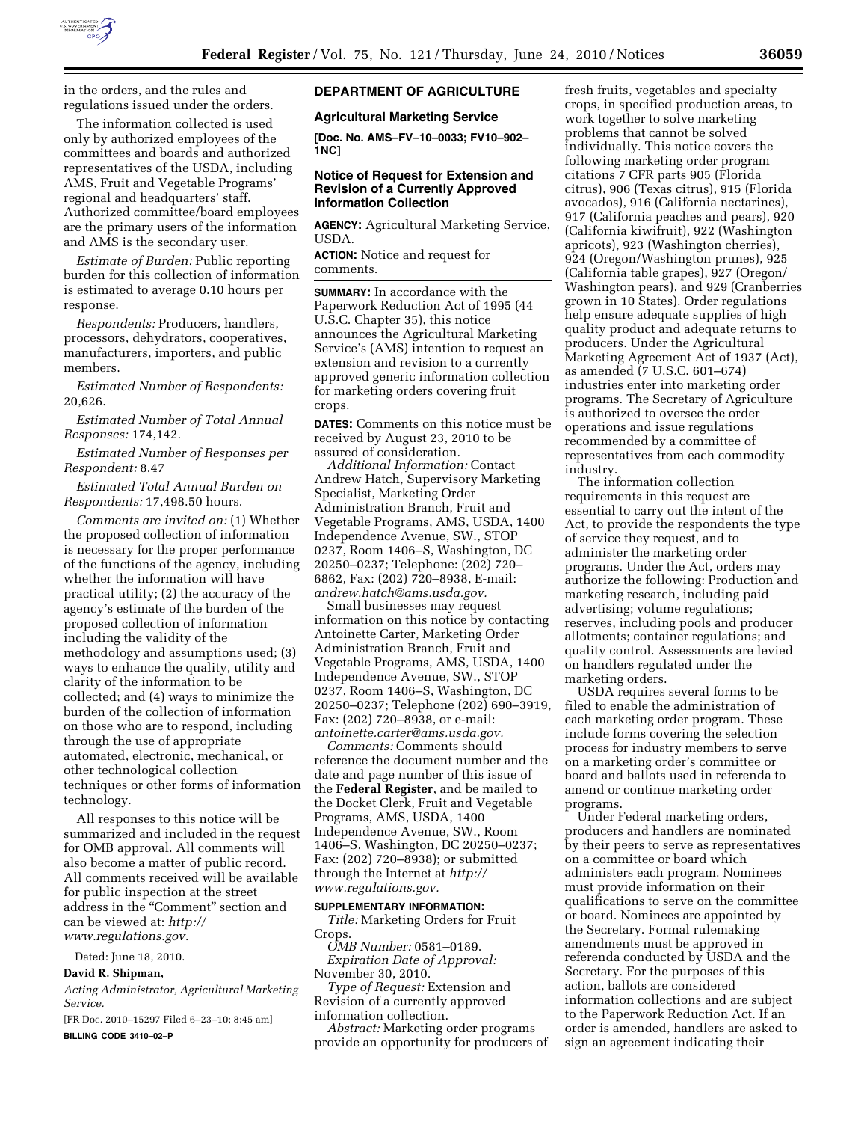

in the orders, and the rules and regulations issued under the orders.

The information collected is used only by authorized employees of the committees and boards and authorized representatives of the USDA, including AMS, Fruit and Vegetable Programs' regional and headquarters' staff. Authorized committee/board employees are the primary users of the information and AMS is the secondary user.

*Estimate of Burden:* Public reporting burden for this collection of information is estimated to average 0.10 hours per response.

*Respondents:* Producers, handlers, processors, dehydrators, cooperatives, manufacturers, importers, and public members.

*Estimated Number of Respondents:*  20,626.

*Estimated Number of Total Annual Responses:* 174,142.

*Estimated Number of Responses per Respondent:* 8.47

*Estimated Total Annual Burden on Respondents:* 17,498.50 hours.

*Comments are invited on:* (1) Whether the proposed collection of information is necessary for the proper performance of the functions of the agency, including whether the information will have practical utility; (2) the accuracy of the agency's estimate of the burden of the proposed collection of information including the validity of the methodology and assumptions used; (3) ways to enhance the quality, utility and clarity of the information to be collected; and (4) ways to minimize the burden of the collection of information on those who are to respond, including through the use of appropriate automated, electronic, mechanical, or other technological collection techniques or other forms of information technology.

All responses to this notice will be summarized and included in the request for OMB approval. All comments will also become a matter of public record. All comments received will be available for public inspection at the street address in the "Comment" section and can be viewed at: *http://* 

*www.regulations.gov.* 

Dated: June 18, 2010.

**David R. Shipman,** 

*Acting Administrator, Agricultural Marketing Service.* 

[FR Doc. 2010–15297 Filed 6–23–10; 8:45 am] **BILLING CODE 3410–02–P** 

# **DEPARTMENT OF AGRICULTURE**

**Agricultural Marketing Service** 

**[Doc. No. AMS–FV–10–0033; FV10–902– 1NC]** 

### **Notice of Request for Extension and Revision of a Currently Approved Information Collection**

**AGENCY:** Agricultural Marketing Service, USDA.

**ACTION:** Notice and request for comments.

**SUMMARY:** In accordance with the Paperwork Reduction Act of 1995 (44 U.S.C. Chapter 35), this notice announces the Agricultural Marketing Service's (AMS) intention to request an extension and revision to a currently approved generic information collection for marketing orders covering fruit crops.

**DATES:** Comments on this notice must be received by August 23, 2010 to be assured of consideration.

*Additional Information:* Contact Andrew Hatch, Supervisory Marketing Specialist, Marketing Order Administration Branch, Fruit and Vegetable Programs, AMS, USDA, 1400 Independence Avenue, SW., STOP 0237, Room 1406–S, Washington, DC 20250–0237; Telephone: (202) 720– 6862, Fax: (202) 720–8938, E-mail: *andrew.hatch@ams.usda.gov.* 

Small businesses may request information on this notice by contacting Antoinette Carter, Marketing Order Administration Branch, Fruit and Vegetable Programs, AMS, USDA, 1400 Independence Avenue, SW., STOP 0237, Room 1406–S, Washington, DC 20250–0237; Telephone (202) 690–3919, Fax: (202) 720–8938, or e-mail: *antoinette.carter@ams.usda.gov.* 

*Comments:* Comments should reference the document number and the date and page number of this issue of the **Federal Register**, and be mailed to the Docket Clerk, Fruit and Vegetable Programs, AMS, USDA, 1400 Independence Avenue, SW., Room 1406–S, Washington, DC 20250–0237; Fax: (202) 720–8938); or submitted through the Internet at *http:// www.regulations.gov.* 

#### **SUPPLEMENTARY INFORMATION:**

*Title:* Marketing Orders for Fruit Crops.

*OMB Number:* 0581–0189. *Expiration Date of Approval:*  November 30, 2010.

*Type of Request:* Extension and Revision of a currently approved information collection.

*Abstract:* Marketing order programs provide an opportunity for producers of

fresh fruits, vegetables and specialty crops, in specified production areas, to work together to solve marketing problems that cannot be solved individually. This notice covers the following marketing order program citations 7 CFR parts 905 (Florida citrus), 906 (Texas citrus), 915 (Florida avocados), 916 (California nectarines), 917 (California peaches and pears), 920 (California kiwifruit), 922 (Washington apricots), 923 (Washington cherries), 924 (Oregon/Washington prunes), 925 (California table grapes), 927 (Oregon/ Washington pears), and 929 (Cranberries grown in 10 States). Order regulations help ensure adequate supplies of high quality product and adequate returns to producers. Under the Agricultural Marketing Agreement Act of 1937 (Act), as amended (7 U.S.C. 601–674) industries enter into marketing order programs. The Secretary of Agriculture is authorized to oversee the order operations and issue regulations recommended by a committee of representatives from each commodity industry.

The information collection requirements in this request are essential to carry out the intent of the Act, to provide the respondents the type of service they request, and to administer the marketing order programs. Under the Act, orders may authorize the following: Production and marketing research, including paid advertising; volume regulations; reserves, including pools and producer allotments; container regulations; and quality control. Assessments are levied on handlers regulated under the marketing orders.

USDA requires several forms to be filed to enable the administration of each marketing order program. These include forms covering the selection process for industry members to serve on a marketing order's committee or board and ballots used in referenda to amend or continue marketing order programs.

Under Federal marketing orders, producers and handlers are nominated by their peers to serve as representatives on a committee or board which administers each program. Nominees must provide information on their qualifications to serve on the committee or board. Nominees are appointed by the Secretary. Formal rulemaking amendments must be approved in referenda conducted by USDA and the Secretary. For the purposes of this action, ballots are considered information collections and are subject to the Paperwork Reduction Act. If an order is amended, handlers are asked to sign an agreement indicating their